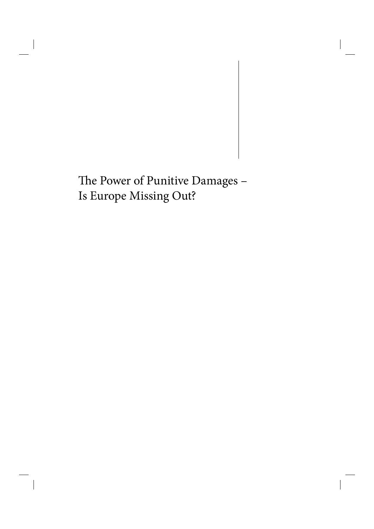# The Power of Punitive Damages -Is Europe Missing Out?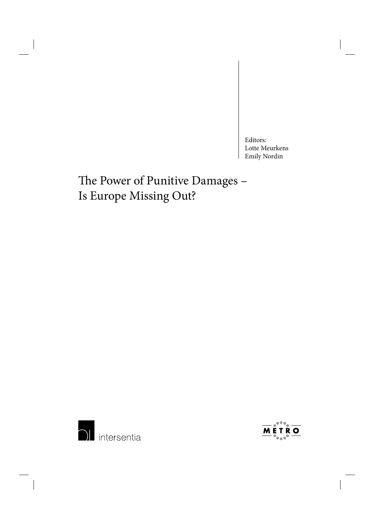Editors: Lotte Meurkens Emily Nordin

# The Power of Punitive Damages -Is Europe Missing Out?



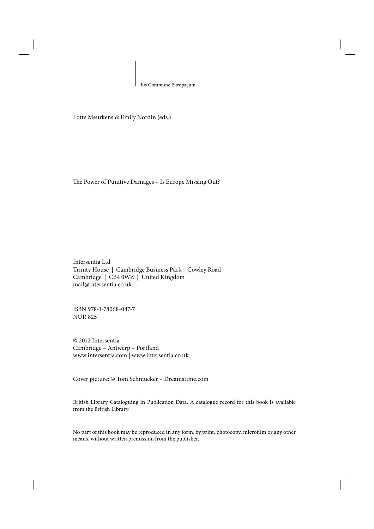Ius Commune Europaeum

Lotte Meurkens & Emily Nordin (eds.)

The Power of Punitive Damages - Is Europe Missing Out?

Intersentia Ltd Trinity House | Cambridge Business Park | Cowley Road Cambridge | CB4 0WZ | United Kingdom mail@intersentia.co.uk

ISBN 978-1-78068-047-7 NUR 825

© 2012 Intersentia Cambridge – Antwerp – Portland www.intersentia.com | www.intersentia.co.uk

Cover picture: © Tom Schmucker – Dreamstime.com

British Library Cataloguing in Publication Data. A catalogue record for this book is available from the British Library.

No part of this book may be reproduced in any form, by print, photocopy, microfilm or any other means, without written premission from the publisher.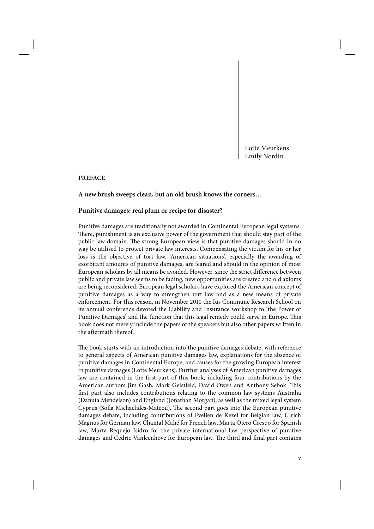Lotte Meurkens Emily Nordin

## **PREFACE**

## **A new brush sweeps clean, but an old brush knows the corners…**

## **Punitive damages: real plum or recipe for disaster?**

Punitive damages are traditionally not awarded in Continental European legal systems. There, punishment is an exclusive power of the government that should stay part of the public law domain. The strong European view is that punitive damages should in no way be utilised to protect private law interests. Compensating the victim for his or her loss is the objective of tort law. 'American situations', especially the awarding of exorbitant amounts of punitive damages, are feared and should in the opinion of most European scholars by all means be avoided. However, since the strict difference between public and private law seems to be fading, new opportunities are created and old axioms are being reconsidered. European legal scholars have explored the American concept of punitive damages as a way to strengthen tort law and as a new means of private enforcement. For this reason, in November 2010 the Ius Commune Research School on its annual conference devoted the Liability and Insurance workshop to 'the Power of Punitive Damages' and the function that this legal remedy could serve in Europe. This book does not merely include the papers of the speakers but also other papers written in the aftermath thereof.

The book starts with an introduction into the punitive damages debate, with reference to general aspects of American punitive damages law, explanations for the absence of punitive damages in Continental Europe, and causes for the growing European interest in punitive damages (Lotte Meurkens). Further analyses of American punitive damages law are contained in the first part of this book, including four contributions by the American authors Jim Gash, Mark Geistfeld, David Owen and Anthony Sebok. This first part also includes contributions relating to the common law systems Australia (Danuta Mendelson) and England (Jonathan Morgan), as well as the mixed legal system Cyprus (Sofia Michaelides-Mateou). The second part goes into the European punitive damages debate, including contributions of Evelien de Kezel for Belgian law, Ulrich Magnus for German law, Chantal Mahé for French law, Marta Otero Crespo for Spanish law, Marta Requejo Isidro for the private international law perspective of punitive damages and Cedric Vanleenhove for European law. The third and final part contains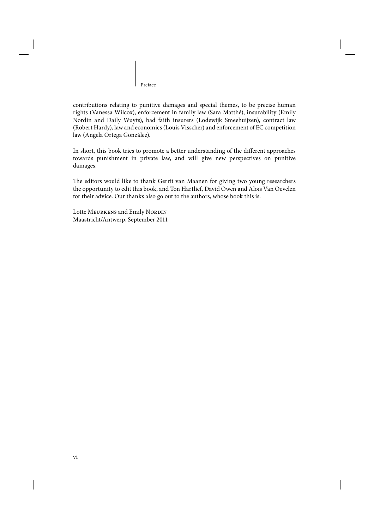Preface

contributions relating to punitive damages and special themes, to be precise human rights (Vanessa Wilcox), enforcement in family law (Sara Matthé), insurability (Emily Nordin and Daily Wuyts), bad faith insurers (Lodewijk Smeehuijzen), contract law (Robert Hardy), law and economics (Louis Visscher) and enforcement of EC competition law (Angela Ortega González).

In short, this book tries to promote a better understanding of the different approaches towards punishment in private law, and will give new perspectives on punitive damages.

The editors would like to thank Gerrit van Maanen for giving two young researchers the opportunity to edit this book, and Ton Hartlief, David Owen and Aloïs Van Oevelen for their advice. Our thanks also go out to the authors, whose book this is.

Lotte MEURKENS and Emily NORDIN Maastricht/Antwerp, September 2011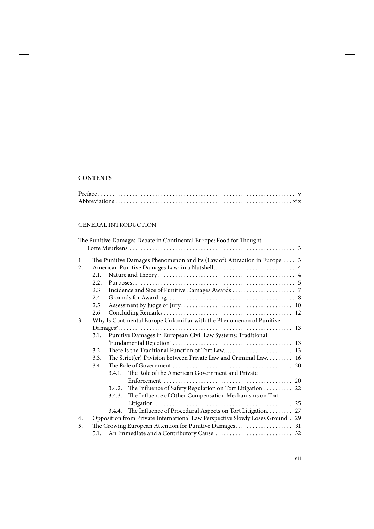# **CONTENTS**

# **GENERAL INTRODUCTION**

|    |      |        | The Punitive Damages Debate in Continental Europe: Food for Thought            |  |
|----|------|--------|--------------------------------------------------------------------------------|--|
|    |      |        |                                                                                |  |
| 1. |      |        | The Punitive Damages Phenomenon and its (Law of) Attraction in Europe  3       |  |
| 2. |      |        |                                                                                |  |
|    | 2.1. |        |                                                                                |  |
|    | 2.2. |        |                                                                                |  |
|    | 2.3. |        |                                                                                |  |
|    | 2.4. |        |                                                                                |  |
|    | 2.5. |        |                                                                                |  |
|    | 2.6. |        |                                                                                |  |
| 3. |      |        | Why Is Continental Europe Unfamiliar with the Phenomenon of Punitive           |  |
|    |      |        |                                                                                |  |
|    | 3.1. |        | Punitive Damages in European Civil Law Systems: Traditional                    |  |
|    |      |        |                                                                                |  |
|    | 3.2. |        |                                                                                |  |
|    | 3.3. |        | The Strict(er) Division between Private Law and Criminal Law 16                |  |
|    | 3.4. |        |                                                                                |  |
|    |      | 3.4.1. | The Role of the American Government and Private                                |  |
|    |      |        |                                                                                |  |
|    |      | 3.4.2. | The Influence of Safety Regulation on Tort Litigation  22                      |  |
|    |      | 3.4.3. | The Influence of Other Compensation Mechanisms on Tort                         |  |
|    |      |        |                                                                                |  |
|    |      | 3.4.4. | The Influence of Procedural Aspects on Tort Litigation. 27                     |  |
| 4. |      |        | Opposition from Private International Law Perspective Slowly Loses Ground . 29 |  |
| 5. |      |        |                                                                                |  |
|    | 5.1. |        |                                                                                |  |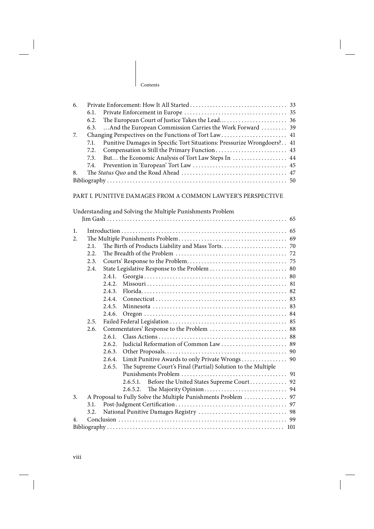| Contents |
|----------|
|----------|

| 6.<br>7. | 6.1.<br>6.2.<br>6.3.<br>7.1.<br>7.2.<br>7.3.<br>7.4. | And the European Commission Carries the Work Forward  39<br>Changing Perspectives on the Functions of Tort Law  41<br>Punitive Damages in Specific Tort Situations: Pressurize Wrongdoers? 41<br>But the Economic Analysis of Tort Law Steps In  44 |    |  |  |
|----------|------------------------------------------------------|-----------------------------------------------------------------------------------------------------------------------------------------------------------------------------------------------------------------------------------------------------|----|--|--|
| 8.       |                                                      |                                                                                                                                                                                                                                                     |    |  |  |
|          |                                                      | PART I. PUNITIVE DAMAGES FROM A COMMON LAWYER'S PERSPECTIVE                                                                                                                                                                                         |    |  |  |
|          |                                                      | Understanding and Solving the Multiple Punishments Problem                                                                                                                                                                                          |    |  |  |
|          |                                                      |                                                                                                                                                                                                                                                     |    |  |  |
| 1.<br>2. | 2.1.<br>2.2.<br>2.3.<br>2.4.<br>2.5.<br>2.6.         | 2.4.1.<br>2.4.2.<br>2.4.3.<br>2.4.4.<br>2.4.5.<br>2.4.6.<br>2.6.1.<br>2.6.2.<br>2.6.3.<br>2.6.4.                                                                                                                                                    |    |  |  |
|          |                                                      | The Supreme Court's Final (Partial) Solution to the Multiple<br>2.6.5.                                                                                                                                                                              |    |  |  |
|          |                                                      | 2.6.5.1. Before the United States Supreme Court 92                                                                                                                                                                                                  |    |  |  |
| 3.       |                                                      | 2.6.5.2.<br>A Proposal to Fully Solve the Multiple Punishments Problem                                                                                                                                                                              | 97 |  |  |
|          | 3.1.<br>97                                           |                                                                                                                                                                                                                                                     |    |  |  |
|          | 3.2.                                                 |                                                                                                                                                                                                                                                     | 98 |  |  |
| 4.       |                                                      |                                                                                                                                                                                                                                                     | 99 |  |  |
|          |                                                      |                                                                                                                                                                                                                                                     |    |  |  |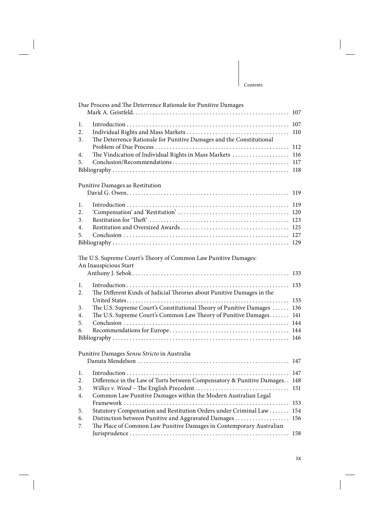| 1.<br>2.<br>The Deterrence Rationale for Punitive Damages and the Constitutional<br>3.<br>The Vindication of Individual Rights in Mass Markets  116<br>4.<br>5.<br>Punitive Damages as Restitution<br>1.<br>2. |     |
|----------------------------------------------------------------------------------------------------------------------------------------------------------------------------------------------------------------|-----|
|                                                                                                                                                                                                                |     |
|                                                                                                                                                                                                                |     |
|                                                                                                                                                                                                                |     |
|                                                                                                                                                                                                                |     |
|                                                                                                                                                                                                                |     |
|                                                                                                                                                                                                                |     |
|                                                                                                                                                                                                                |     |
|                                                                                                                                                                                                                |     |
|                                                                                                                                                                                                                |     |
|                                                                                                                                                                                                                |     |
|                                                                                                                                                                                                                |     |
|                                                                                                                                                                                                                |     |
| 3.                                                                                                                                                                                                             |     |
| 4.                                                                                                                                                                                                             |     |
| 5.                                                                                                                                                                                                             |     |
|                                                                                                                                                                                                                |     |
| The U.S. Supreme Court's Theory of Common Law Punitive Damages:                                                                                                                                                |     |
| An Inauspicious Start                                                                                                                                                                                          |     |
|                                                                                                                                                                                                                |     |
| 1.                                                                                                                                                                                                             |     |
| The Different Kinds of Judicial Theories about Punitive Damages in the<br>2.                                                                                                                                   |     |
|                                                                                                                                                                                                                |     |
| The U.S. Supreme Court's Constitutional Theory of Punitive Damages  136<br>3.                                                                                                                                  |     |
| The U.S. Supreme Court's Common Law Theory of Punitive Damages 141<br>4.                                                                                                                                       |     |
| 5.                                                                                                                                                                                                             |     |
| 6.                                                                                                                                                                                                             |     |
|                                                                                                                                                                                                                |     |
| Punitive Damages Sensu Stricto in Australia                                                                                                                                                                    |     |
|                                                                                                                                                                                                                |     |
| 1.                                                                                                                                                                                                             |     |
| 2. Difference in the Law of Torts between Compensatory & Punitive Damages. . 148                                                                                                                               |     |
| 3.                                                                                                                                                                                                             |     |
| Common Law Punitive Damages within the Modern Australian Legal<br>4.                                                                                                                                           |     |
|                                                                                                                                                                                                                | 153 |
| Statutory Compensation and Restitution Orders under Criminal Law<br>5.                                                                                                                                         | 154 |
| Distinction between Punitive and Aggravated Damages<br>6.<br>The Place of Common Law Punitive Damages in Contemporary Australian<br>7.                                                                         | 156 |

Jurisprudence . . . . . . . . . . . . . . . . . . . . . . . . . . . . . . . . . . . . . . . . . . . . . . . . . . . . . . . . 158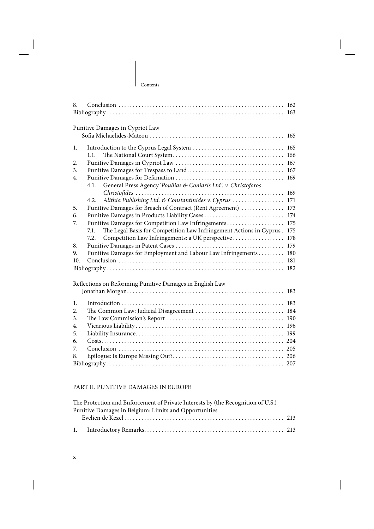| 166 |
|-----|
| 167 |
| 167 |
| 169 |
|     |
|     |
| 171 |
| 173 |
| 174 |
| 175 |
| 175 |
| 178 |
| 179 |
| 180 |
| 181 |
| 182 |
|     |
|     |
| 183 |
| 183 |
| 184 |
|     |
| 196 |
| 199 |
|     |
| 205 |
|     |
|     |
|     |

## PART II. PUNITIVE DAMAGES IN EUROPE

| The Protection and Enforcement of Private Interests by (the Recognition of U.S.) |  |
|----------------------------------------------------------------------------------|--|
| Punitive Damages in Belgium: Limits and Opportunities                            |  |
|                                                                                  |  |
|                                                                                  |  |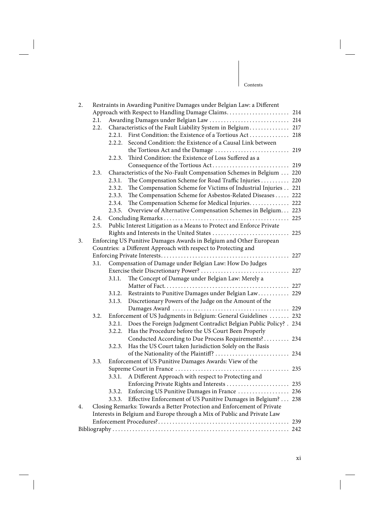| 2.                                                                      |                                                         |                                                              |                                                                                                                                                                                                                                                                                                                                                                                                                                                                                                                                                                                                                                                                                                                                                                                                                                                                                                                                                                                                                                                                                                                                                                                                                                                                                                                                                                                                                                                                                                                                                                                               |  |  |  |
|-------------------------------------------------------------------------|---------------------------------------------------------|--------------------------------------------------------------|-----------------------------------------------------------------------------------------------------------------------------------------------------------------------------------------------------------------------------------------------------------------------------------------------------------------------------------------------------------------------------------------------------------------------------------------------------------------------------------------------------------------------------------------------------------------------------------------------------------------------------------------------------------------------------------------------------------------------------------------------------------------------------------------------------------------------------------------------------------------------------------------------------------------------------------------------------------------------------------------------------------------------------------------------------------------------------------------------------------------------------------------------------------------------------------------------------------------------------------------------------------------------------------------------------------------------------------------------------------------------------------------------------------------------------------------------------------------------------------------------------------------------------------------------------------------------------------------------|--|--|--|
|                                                                         |                                                         |                                                              |                                                                                                                                                                                                                                                                                                                                                                                                                                                                                                                                                                                                                                                                                                                                                                                                                                                                                                                                                                                                                                                                                                                                                                                                                                                                                                                                                                                                                                                                                                                                                                                               |  |  |  |
| 2.1.                                                                    |                                                         |                                                              |                                                                                                                                                                                                                                                                                                                                                                                                                                                                                                                                                                                                                                                                                                                                                                                                                                                                                                                                                                                                                                                                                                                                                                                                                                                                                                                                                                                                                                                                                                                                                                                               |  |  |  |
|                                                                         |                                                         |                                                              |                                                                                                                                                                                                                                                                                                                                                                                                                                                                                                                                                                                                                                                                                                                                                                                                                                                                                                                                                                                                                                                                                                                                                                                                                                                                                                                                                                                                                                                                                                                                                                                               |  |  |  |
|                                                                         |                                                         |                                                              |                                                                                                                                                                                                                                                                                                                                                                                                                                                                                                                                                                                                                                                                                                                                                                                                                                                                                                                                                                                                                                                                                                                                                                                                                                                                                                                                                                                                                                                                                                                                                                                               |  |  |  |
|                                                                         |                                                         |                                                              |                                                                                                                                                                                                                                                                                                                                                                                                                                                                                                                                                                                                                                                                                                                                                                                                                                                                                                                                                                                                                                                                                                                                                                                                                                                                                                                                                                                                                                                                                                                                                                                               |  |  |  |
|                                                                         |                                                         |                                                              |                                                                                                                                                                                                                                                                                                                                                                                                                                                                                                                                                                                                                                                                                                                                                                                                                                                                                                                                                                                                                                                                                                                                                                                                                                                                                                                                                                                                                                                                                                                                                                                               |  |  |  |
|                                                                         | 2.2.3.                                                  |                                                              |                                                                                                                                                                                                                                                                                                                                                                                                                                                                                                                                                                                                                                                                                                                                                                                                                                                                                                                                                                                                                                                                                                                                                                                                                                                                                                                                                                                                                                                                                                                                                                                               |  |  |  |
|                                                                         |                                                         |                                                              |                                                                                                                                                                                                                                                                                                                                                                                                                                                                                                                                                                                                                                                                                                                                                                                                                                                                                                                                                                                                                                                                                                                                                                                                                                                                                                                                                                                                                                                                                                                                                                                               |  |  |  |
| 2.3.                                                                    |                                                         |                                                              |                                                                                                                                                                                                                                                                                                                                                                                                                                                                                                                                                                                                                                                                                                                                                                                                                                                                                                                                                                                                                                                                                                                                                                                                                                                                                                                                                                                                                                                                                                                                                                                               |  |  |  |
|                                                                         |                                                         |                                                              |                                                                                                                                                                                                                                                                                                                                                                                                                                                                                                                                                                                                                                                                                                                                                                                                                                                                                                                                                                                                                                                                                                                                                                                                                                                                                                                                                                                                                                                                                                                                                                                               |  |  |  |
|                                                                         |                                                         |                                                              |                                                                                                                                                                                                                                                                                                                                                                                                                                                                                                                                                                                                                                                                                                                                                                                                                                                                                                                                                                                                                                                                                                                                                                                                                                                                                                                                                                                                                                                                                                                                                                                               |  |  |  |
|                                                                         |                                                         |                                                              |                                                                                                                                                                                                                                                                                                                                                                                                                                                                                                                                                                                                                                                                                                                                                                                                                                                                                                                                                                                                                                                                                                                                                                                                                                                                                                                                                                                                                                                                                                                                                                                               |  |  |  |
|                                                                         |                                                         |                                                              |                                                                                                                                                                                                                                                                                                                                                                                                                                                                                                                                                                                                                                                                                                                                                                                                                                                                                                                                                                                                                                                                                                                                                                                                                                                                                                                                                                                                                                                                                                                                                                                               |  |  |  |
|                                                                         |                                                         |                                                              |                                                                                                                                                                                                                                                                                                                                                                                                                                                                                                                                                                                                                                                                                                                                                                                                                                                                                                                                                                                                                                                                                                                                                                                                                                                                                                                                                                                                                                                                                                                                                                                               |  |  |  |
| 2.4.                                                                    |                                                         |                                                              |                                                                                                                                                                                                                                                                                                                                                                                                                                                                                                                                                                                                                                                                                                                                                                                                                                                                                                                                                                                                                                                                                                                                                                                                                                                                                                                                                                                                                                                                                                                                                                                               |  |  |  |
| 2.5.                                                                    |                                                         |                                                              |                                                                                                                                                                                                                                                                                                                                                                                                                                                                                                                                                                                                                                                                                                                                                                                                                                                                                                                                                                                                                                                                                                                                                                                                                                                                                                                                                                                                                                                                                                                                                                                               |  |  |  |
|                                                                         |                                                         |                                                              |                                                                                                                                                                                                                                                                                                                                                                                                                                                                                                                                                                                                                                                                                                                                                                                                                                                                                                                                                                                                                                                                                                                                                                                                                                                                                                                                                                                                                                                                                                                                                                                               |  |  |  |
|                                                                         |                                                         |                                                              |                                                                                                                                                                                                                                                                                                                                                                                                                                                                                                                                                                                                                                                                                                                                                                                                                                                                                                                                                                                                                                                                                                                                                                                                                                                                                                                                                                                                                                                                                                                                                                                               |  |  |  |
|                                                                         |                                                         |                                                              |                                                                                                                                                                                                                                                                                                                                                                                                                                                                                                                                                                                                                                                                                                                                                                                                                                                                                                                                                                                                                                                                                                                                                                                                                                                                                                                                                                                                                                                                                                                                                                                               |  |  |  |
|                                                                         |                                                         |                                                              |                                                                                                                                                                                                                                                                                                                                                                                                                                                                                                                                                                                                                                                                                                                                                                                                                                                                                                                                                                                                                                                                                                                                                                                                                                                                                                                                                                                                                                                                                                                                                                                               |  |  |  |
|                                                                         | Compensation of Damage under Belgian Law: How Do Judges |                                                              |                                                                                                                                                                                                                                                                                                                                                                                                                                                                                                                                                                                                                                                                                                                                                                                                                                                                                                                                                                                                                                                                                                                                                                                                                                                                                                                                                                                                                                                                                                                                                                                               |  |  |  |
|                                                                         |                                                         |                                                              |                                                                                                                                                                                                                                                                                                                                                                                                                                                                                                                                                                                                                                                                                                                                                                                                                                                                                                                                                                                                                                                                                                                                                                                                                                                                                                                                                                                                                                                                                                                                                                                               |  |  |  |
|                                                                         | 3.1.1.                                                  |                                                              |                                                                                                                                                                                                                                                                                                                                                                                                                                                                                                                                                                                                                                                                                                                                                                                                                                                                                                                                                                                                                                                                                                                                                                                                                                                                                                                                                                                                                                                                                                                                                                                               |  |  |  |
|                                                                         |                                                         |                                                              |                                                                                                                                                                                                                                                                                                                                                                                                                                                                                                                                                                                                                                                                                                                                                                                                                                                                                                                                                                                                                                                                                                                                                                                                                                                                                                                                                                                                                                                                                                                                                                                               |  |  |  |
|                                                                         |                                                         |                                                              |                                                                                                                                                                                                                                                                                                                                                                                                                                                                                                                                                                                                                                                                                                                                                                                                                                                                                                                                                                                                                                                                                                                                                                                                                                                                                                                                                                                                                                                                                                                                                                                               |  |  |  |
|                                                                         | 3.1.3.                                                  |                                                              |                                                                                                                                                                                                                                                                                                                                                                                                                                                                                                                                                                                                                                                                                                                                                                                                                                                                                                                                                                                                                                                                                                                                                                                                                                                                                                                                                                                                                                                                                                                                                                                               |  |  |  |
|                                                                         |                                                         |                                                              |                                                                                                                                                                                                                                                                                                                                                                                                                                                                                                                                                                                                                                                                                                                                                                                                                                                                                                                                                                                                                                                                                                                                                                                                                                                                                                                                                                                                                                                                                                                                                                                               |  |  |  |
| 3.2.                                                                    |                                                         |                                                              |                                                                                                                                                                                                                                                                                                                                                                                                                                                                                                                                                                                                                                                                                                                                                                                                                                                                                                                                                                                                                                                                                                                                                                                                                                                                                                                                                                                                                                                                                                                                                                                               |  |  |  |
|                                                                         |                                                         |                                                              |                                                                                                                                                                                                                                                                                                                                                                                                                                                                                                                                                                                                                                                                                                                                                                                                                                                                                                                                                                                                                                                                                                                                                                                                                                                                                                                                                                                                                                                                                                                                                                                               |  |  |  |
|                                                                         |                                                         |                                                              |                                                                                                                                                                                                                                                                                                                                                                                                                                                                                                                                                                                                                                                                                                                                                                                                                                                                                                                                                                                                                                                                                                                                                                                                                                                                                                                                                                                                                                                                                                                                                                                               |  |  |  |
|                                                                         |                                                         | Conducted According to Due Process Requirements? 234         |                                                                                                                                                                                                                                                                                                                                                                                                                                                                                                                                                                                                                                                                                                                                                                                                                                                                                                                                                                                                                                                                                                                                                                                                                                                                                                                                                                                                                                                                                                                                                                                               |  |  |  |
|                                                                         | 3.2.3.                                                  | Has the US Court taken Jurisdiction Solely on the Basis      |                                                                                                                                                                                                                                                                                                                                                                                                                                                                                                                                                                                                                                                                                                                                                                                                                                                                                                                                                                                                                                                                                                                                                                                                                                                                                                                                                                                                                                                                                                                                                                                               |  |  |  |
|                                                                         |                                                         | of the Nationality of the Plaintiff?  234                    |                                                                                                                                                                                                                                                                                                                                                                                                                                                                                                                                                                                                                                                                                                                                                                                                                                                                                                                                                                                                                                                                                                                                                                                                                                                                                                                                                                                                                                                                                                                                                                                               |  |  |  |
| 3.3.                                                                    |                                                         |                                                              |                                                                                                                                                                                                                                                                                                                                                                                                                                                                                                                                                                                                                                                                                                                                                                                                                                                                                                                                                                                                                                                                                                                                                                                                                                                                                                                                                                                                                                                                                                                                                                                               |  |  |  |
|                                                                         |                                                         | $\cdots \cdots \cdots 235$                                   |                                                                                                                                                                                                                                                                                                                                                                                                                                                                                                                                                                                                                                                                                                                                                                                                                                                                                                                                                                                                                                                                                                                                                                                                                                                                                                                                                                                                                                                                                                                                                                                               |  |  |  |
|                                                                         | 3.3.1.                                                  | A Different Approach with respect to Protecting and          |                                                                                                                                                                                                                                                                                                                                                                                                                                                                                                                                                                                                                                                                                                                                                                                                                                                                                                                                                                                                                                                                                                                                                                                                                                                                                                                                                                                                                                                                                                                                                                                               |  |  |  |
|                                                                         |                                                         | Enforcing Private Rights and Interests  235                  |                                                                                                                                                                                                                                                                                                                                                                                                                                                                                                                                                                                                                                                                                                                                                                                                                                                                                                                                                                                                                                                                                                                                                                                                                                                                                                                                                                                                                                                                                                                                                                                               |  |  |  |
|                                                                         | 3.3.2.                                                  | Enforcing US Punitive Damages in France  236                 |                                                                                                                                                                                                                                                                                                                                                                                                                                                                                                                                                                                                                                                                                                                                                                                                                                                                                                                                                                                                                                                                                                                                                                                                                                                                                                                                                                                                                                                                                                                                                                                               |  |  |  |
|                                                                         | 3.3.3.                                                  | Effective Enforcement of US Punitive Damages in Belgium? 238 |                                                                                                                                                                                                                                                                                                                                                                                                                                                                                                                                                                                                                                                                                                                                                                                                                                                                                                                                                                                                                                                                                                                                                                                                                                                                                                                                                                                                                                                                                                                                                                                               |  |  |  |
| Closing Remarks: Towards a Better Protection and Enforcement of Private |                                                         |                                                              |                                                                                                                                                                                                                                                                                                                                                                                                                                                                                                                                                                                                                                                                                                                                                                                                                                                                                                                                                                                                                                                                                                                                                                                                                                                                                                                                                                                                                                                                                                                                                                                               |  |  |  |
|                                                                         |                                                         |                                                              |                                                                                                                                                                                                                                                                                                                                                                                                                                                                                                                                                                                                                                                                                                                                                                                                                                                                                                                                                                                                                                                                                                                                                                                                                                                                                                                                                                                                                                                                                                                                                                                               |  |  |  |
|                                                                         |                                                         |                                                              |                                                                                                                                                                                                                                                                                                                                                                                                                                                                                                                                                                                                                                                                                                                                                                                                                                                                                                                                                                                                                                                                                                                                                                                                                                                                                                                                                                                                                                                                                                                                                                                               |  |  |  |
|                                                                         |                                                         |                                                              |                                                                                                                                                                                                                                                                                                                                                                                                                                                                                                                                                                                                                                                                                                                                                                                                                                                                                                                                                                                                                                                                                                                                                                                                                                                                                                                                                                                                                                                                                                                                                                                               |  |  |  |
|                                                                         |                                                         | 3.1.                                                         | Restraints in Awarding Punitive Damages under Belgian Law: a Different<br>Approach with Respect to Handling Damage Claims 214<br>2.2. Characteristics of the Fault Liability System in Belgium 217<br>2.2.1. First Condition: the Existence of a Tortious Act 218<br>2.2.2. Second Condition: the Existence of a Causal Link between<br>Third Condition: the Existence of Loss Suffered as a<br>Characteristics of the No-Fault Compensation Schemes in Belgium 220<br>2.3.1. The Compensation Scheme for Road Traffic Injuries 220<br>2.3.2. The Compensation Scheme for Victims of Industrial Injuries 221<br>2.3.3. The Compensation Scheme for Asbestos-Related Diseases  222<br>2.3.4. The Compensation Scheme for Medical Injuries 222<br>2.3.5. Overview of Alternative Compensation Schemes in Belgium 223<br>Public Interest Litigation as a Means to Protect and Enforce Private<br>Enforcing US Punitive Damages Awards in Belgium and Other European<br>Countries: a Different Approach with respect to Protecting and<br>The Concept of Damage under Belgian Law: Merely a<br>3.1.2. Restraints to Punitive Damages under Belgian Law 229<br>Discretionary Powers of the Judge on the Amount of the<br>Enforcement of US Judgments in Belgium: General Guidelines  232<br>3.2.1. Does the Foreign Judgment Contradict Belgian Public Policy? . 234<br>3.2.2. Has the Procedure before the US Court Been Properly<br>Enforcement of US Punitive Damages Awards: View of the<br>Supreme Court in France<br>Interests in Belgium and Europe through a Mix of Public and Private Law |  |  |  |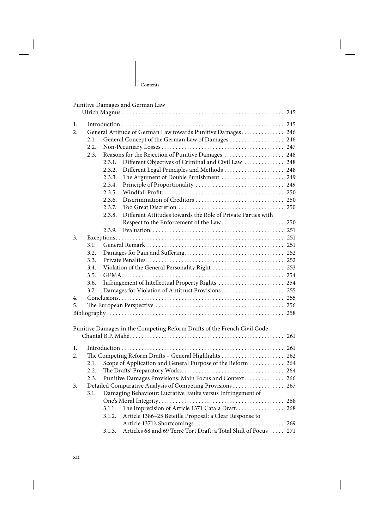$\overline{1}$ 

|    |      |                                                 | Punitive Damages and German Law                                          | 245 |  |  |  |
|----|------|-------------------------------------------------|--------------------------------------------------------------------------|-----|--|--|--|
|    |      |                                                 |                                                                          |     |  |  |  |
| 1. |      |                                                 |                                                                          |     |  |  |  |
| 2. |      |                                                 | General Attitude of German Law towards Punitive Damages 246              |     |  |  |  |
|    | 2.1. |                                                 | General Concept of the German Law of Damages  246                        |     |  |  |  |
|    | 2.2. |                                                 |                                                                          |     |  |  |  |
|    | 2.3. |                                                 | Reasons for the Rejection of Punitive Damages  248                       |     |  |  |  |
|    |      | 2.3.1.                                          | Different Objectives of Criminal and Civil Law  248                      |     |  |  |  |
|    |      | 2.3.2.                                          | Different Legal Principles and Methods  248                              |     |  |  |  |
|    |      | 2.3.3.                                          |                                                                          |     |  |  |  |
|    |      | 2.3.4.                                          |                                                                          |     |  |  |  |
|    |      | 2.3.5.                                          |                                                                          |     |  |  |  |
|    |      | 2.3.6.                                          |                                                                          |     |  |  |  |
|    |      | 2.3.7.                                          |                                                                          |     |  |  |  |
|    |      | 2.3.8.                                          | Different Attitudes towards the Role of Private Parties with             |     |  |  |  |
|    |      |                                                 |                                                                          |     |  |  |  |
|    |      | 2.3.9.                                          |                                                                          |     |  |  |  |
| 3. |      |                                                 |                                                                          |     |  |  |  |
|    | 3.1. |                                                 |                                                                          |     |  |  |  |
|    | 3.2. |                                                 |                                                                          |     |  |  |  |
|    | 3.3. |                                                 |                                                                          |     |  |  |  |
|    | 3.4. | Violation of the General Personality Right  253 |                                                                          |     |  |  |  |
|    | 3.5. |                                                 |                                                                          |     |  |  |  |
|    | 3.6. |                                                 | Infringement of Intellectual Property Rights  254                        |     |  |  |  |
|    | 3.7. |                                                 | Damages for Violation of Antitrust Provisions 255                        |     |  |  |  |
| 4. |      |                                                 |                                                                          |     |  |  |  |
| 5. |      |                                                 |                                                                          |     |  |  |  |
|    |      |                                                 |                                                                          |     |  |  |  |
|    |      |                                                 | Punitive Damages in the Competing Reform Drafts of the French Civil Code |     |  |  |  |
|    |      |                                                 |                                                                          | 261 |  |  |  |
| 1. |      |                                                 |                                                                          |     |  |  |  |
| 2. |      |                                                 | The Competing Reform Drafts - General Highlights  262                    |     |  |  |  |
|    | 2.1. |                                                 | Scope of Application and General Purpose of the Reform  264              |     |  |  |  |
|    | 2.2. |                                                 |                                                                          |     |  |  |  |
|    | 2.3. |                                                 | Punitive Damages Provisions: Main Focus and Context 266                  |     |  |  |  |
| 3. |      |                                                 | Detailed Comparative Analysis of Competing Provisions  267               |     |  |  |  |
|    | 3.1. |                                                 | Damaging Behaviour: Lucrative Faults versus Infringement of              |     |  |  |  |
|    |      |                                                 |                                                                          |     |  |  |  |
|    |      | 3.1.1.                                          | The Imprecision of Article 1371 Catala Draft 268                         |     |  |  |  |
|    |      | 3.1.2.                                          | Article 1386-25 Béteille Proposal: a Clear Response to                   |     |  |  |  |
|    |      |                                                 |                                                                          |     |  |  |  |
|    |      |                                                 | Articles 68 and 69 Terré Tort Draft: a Total Shift of Focus  271         |     |  |  |  |
|    |      | 3.1.3.                                          |                                                                          |     |  |  |  |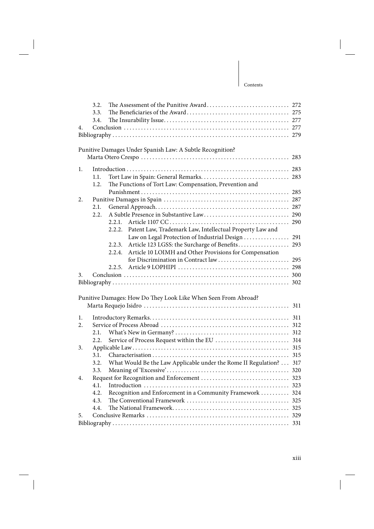# xiii

## Contents

| 4. | 3.2.<br>3.3.<br>3.4. | The Assessment of the Punitive Award 272                           |     |
|----|----------------------|--------------------------------------------------------------------|-----|
|    |                      | Punitive Damages Under Spanish Law: A Subtle Recognition?          | 283 |
| 1. |                      |                                                                    |     |
|    | 1.1.                 |                                                                    |     |
|    | 1.2.                 | The Functions of Tort Law: Compensation, Prevention and            |     |
|    |                      |                                                                    |     |
| 2. |                      |                                                                    |     |
|    | 2.1.                 |                                                                    |     |
|    | 2.2.                 |                                                                    |     |
|    |                      | 2.2.1.                                                             | 290 |
|    |                      | Patent Law, Trademark Law, Intellectual Property Law and<br>2.2.2. |     |
|    |                      | Law on Legal Protection of Industrial Design                       | 291 |
|    |                      | Article 123 LGSS: the Surcharge of Benefits<br>2.2.3.              | 293 |
|    |                      | Article 10 LOIMH and Other Provisions for Compensation<br>2.2.4.   |     |
|    |                      |                                                                    | 295 |
|    |                      | 2.2.5.                                                             |     |
| 3. |                      |                                                                    |     |
|    |                      |                                                                    |     |
|    |                      | Punitive Damages: How Do They Look Like When Seen From Abroad?     |     |
|    |                      |                                                                    | 311 |
|    |                      |                                                                    |     |
| 1. |                      |                                                                    | 311 |
| 2. |                      |                                                                    |     |
|    | 2.1.                 |                                                                    |     |
|    | 2.2.                 |                                                                    |     |
| 3. |                      |                                                                    | 315 |
|    | 3.1.                 |                                                                    | 315 |
|    | 3.2.                 | What Would Be the Law Applicable under the Rome II Regulation?     | 317 |
|    | 3.3.                 |                                                                    |     |
| 4. |                      |                                                                    |     |
|    | 4.1.                 |                                                                    |     |
|    | 4.2.                 | Recognition and Enforcement in a Community Framework  324          |     |
|    | 4.3.                 |                                                                    |     |
|    | 4.4.                 |                                                                    |     |
| 5. |                      |                                                                    |     |
|    |                      |                                                                    |     |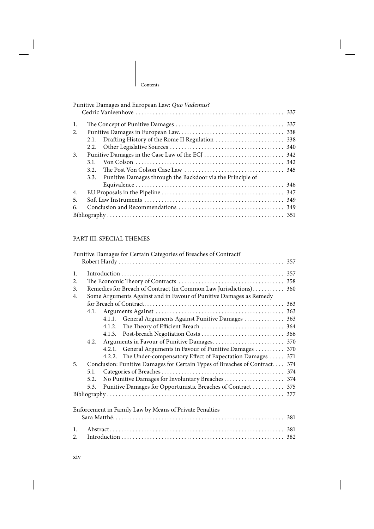$\mathbf{I}$ 

| Punitive Damages and European Law: Quo Vademus?                    |  |  |  |  |  |
|--------------------------------------------------------------------|--|--|--|--|--|
|                                                                    |  |  |  |  |  |
| -1.                                                                |  |  |  |  |  |
| 338<br>2.                                                          |  |  |  |  |  |
| 2.1.                                                               |  |  |  |  |  |
|                                                                    |  |  |  |  |  |
| 3.                                                                 |  |  |  |  |  |
| 3.1.                                                               |  |  |  |  |  |
| 3.2.                                                               |  |  |  |  |  |
| Punitive Damages through the Backdoor via the Principle of<br>3.3. |  |  |  |  |  |
|                                                                    |  |  |  |  |  |
| 4.                                                                 |  |  |  |  |  |
| 349<br>5.                                                          |  |  |  |  |  |
| 6.                                                                 |  |  |  |  |  |
|                                                                    |  |  |  |  |  |

# PART III. SPECIAL THEMES

|                |      | Punitive Damages for Certain Categories of Breaches of Contract?           |     |
|----------------|------|----------------------------------------------------------------------------|-----|
|                |      |                                                                            |     |
| 1.             |      |                                                                            |     |
|                |      |                                                                            |     |
| 2.             |      |                                                                            | 358 |
| 3.             |      | Remedies for Breach of Contract (in Common Law Jurisdictions)              | 360 |
| 4.             |      | Some Arguments Against and in Favour of Punitive Damages as Remedy         |     |
|                |      |                                                                            |     |
|                | 4.1. |                                                                            |     |
|                |      | 4.1.1. General Arguments Against Punitive Damages  363                     |     |
|                |      |                                                                            |     |
|                |      |                                                                            |     |
|                | 4.2. |                                                                            |     |
|                |      | 4.2.1. General Arguments in Favour of Punitive Damages  370                |     |
|                |      | 4.2.2. The Under-compensatory Effect of Expectation Damages  371           |     |
| 5.             |      | Conclusion: Punitive Damages for Certain Types of Breaches of Contract 374 |     |
|                | 5.1. |                                                                            |     |
|                | 5.2. |                                                                            |     |
|                | 5.3. | Punitive Damages for Opportunistic Breaches of Contract  375               |     |
|                |      |                                                                            |     |
|                |      |                                                                            |     |
|                |      | Enforcement in Family Law by Means of Private Penalties                    |     |
|                |      |                                                                            | 381 |
|                |      |                                                                            |     |
| $\mathbf{1}$ . |      |                                                                            | 381 |
| 2.             |      |                                                                            |     |
|                |      |                                                                            |     |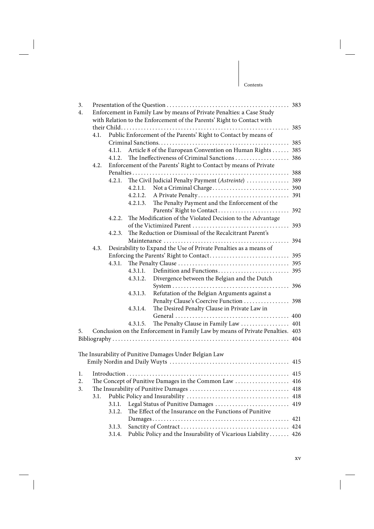| 3.<br>4. | Enforcement in Family Law by means of Private Penalties: a Case Study  |                                                                  |          |                                                                                |     |  |
|----------|------------------------------------------------------------------------|------------------------------------------------------------------|----------|--------------------------------------------------------------------------------|-----|--|
|          | with Relation to the Enforcement of the Parents' Right to Contact with |                                                                  |          |                                                                                |     |  |
|          |                                                                        |                                                                  |          |                                                                                |     |  |
|          | 4.1.                                                                   |                                                                  |          | Public Enforcement of the Parents' Right to Contact by means of                |     |  |
|          |                                                                        |                                                                  |          |                                                                                |     |  |
|          |                                                                        | 4.1.1.                                                           |          | Article 8 of the European Convention on Human Rights 385                       |     |  |
|          |                                                                        | 4.1.2.                                                           |          |                                                                                |     |  |
|          | 4.2.                                                                   | Enforcement of the Parents' Right to Contact by means of Private |          |                                                                                |     |  |
|          |                                                                        |                                                                  |          |                                                                                |     |  |
|          |                                                                        | 4.2.1.                                                           |          | The Civil Judicial Penalty Payment (Astreinte)  389                            |     |  |
|          |                                                                        |                                                                  | 4.2.1.1. |                                                                                |     |  |
|          |                                                                        |                                                                  | 4.2.1.2. |                                                                                |     |  |
|          |                                                                        |                                                                  | 4.2.1.3. | The Penalty Payment and the Enforcement of the                                 |     |  |
|          |                                                                        |                                                                  |          |                                                                                |     |  |
|          |                                                                        | 4.2.2.                                                           |          | The Modification of the Violated Decision to the Advantage                     |     |  |
|          |                                                                        |                                                                  |          |                                                                                |     |  |
|          |                                                                        | 4.2.3.                                                           |          | The Reduction or Dismissal of the Recalcitrant Parent's                        |     |  |
|          |                                                                        |                                                                  |          |                                                                                | 394 |  |
|          | 4.3.                                                                   |                                                                  |          | Desirability to Expand the Use of Private Penalties as a means of              |     |  |
|          |                                                                        |                                                                  |          |                                                                                |     |  |
|          |                                                                        | 4.3.1.                                                           |          |                                                                                |     |  |
|          |                                                                        |                                                                  | 4.3.1.1. |                                                                                |     |  |
|          |                                                                        |                                                                  | 4.3.1.2. | Divergence between the Belgian and the Dutch                                   |     |  |
|          |                                                                        |                                                                  |          |                                                                                |     |  |
|          |                                                                        |                                                                  | 4.3.1.3. | Refutation of the Belgian Arguments against a                                  |     |  |
|          |                                                                        |                                                                  |          | Penalty Clause's Coercive Function  398                                        |     |  |
|          |                                                                        |                                                                  | 4.3.1.4. | The Desired Penalty Clause in Private Law in                                   |     |  |
|          |                                                                        |                                                                  |          |                                                                                |     |  |
|          |                                                                        |                                                                  | 4.3.1.5. | The Penalty Clause in Family Law  401                                          |     |  |
| 5.       |                                                                        |                                                                  |          | Conclusion on the Enforcement in Family Law by means of Private Penalties. 403 |     |  |
|          |                                                                        |                                                                  |          |                                                                                |     |  |
|          |                                                                        |                                                                  |          |                                                                                |     |  |
|          |                                                                        |                                                                  |          | The Insurability of Punitive Damages Under Belgian Law                         |     |  |
|          |                                                                        |                                                                  |          |                                                                                |     |  |
|          |                                                                        |                                                                  |          |                                                                                |     |  |
| 1.       |                                                                        |                                                                  |          |                                                                                |     |  |
| 2.       |                                                                        |                                                                  |          | The Concept of Punitive Damages in the Common Law                              | 416 |  |
| 3.       |                                                                        |                                                                  |          |                                                                                | 418 |  |
|          | 3.1.                                                                   |                                                                  |          |                                                                                | 418 |  |
|          |                                                                        | 3.1.1.                                                           |          | Legal Status of Punitive Damages                                               | 419 |  |
|          |                                                                        | 3.1.2.                                                           |          | The Effect of the Insurance on the Functions of Punitive                       |     |  |
|          |                                                                        |                                                                  |          |                                                                                | 421 |  |
|          |                                                                        | 3.1.3.                                                           |          |                                                                                |     |  |
|          |                                                                        | 3.1.4.                                                           |          | Public Policy and the Insurability of Vicarious Liability 426                  |     |  |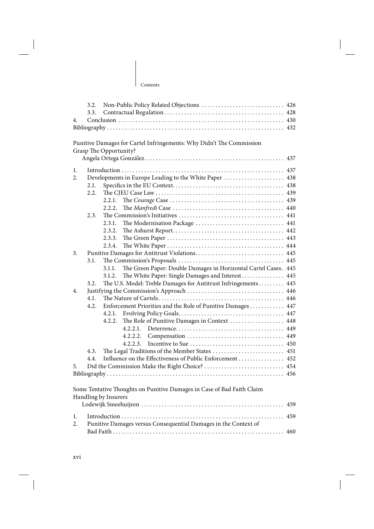$\mathbf{I}$ 

| $\overline{4}$ . |      |                                                                                                                                                                                                                                                                                                                                                                                             |
|------------------|------|---------------------------------------------------------------------------------------------------------------------------------------------------------------------------------------------------------------------------------------------------------------------------------------------------------------------------------------------------------------------------------------------|
|                  |      |                                                                                                                                                                                                                                                                                                                                                                                             |
|                  |      |                                                                                                                                                                                                                                                                                                                                                                                             |
|                  |      | Punitive Damages for Cartel Infringements: Why Didn't The Commission                                                                                                                                                                                                                                                                                                                        |
|                  |      | Grasp The Opportunity?                                                                                                                                                                                                                                                                                                                                                                      |
|                  |      |                                                                                                                                                                                                                                                                                                                                                                                             |
| -1.              |      |                                                                                                                                                                                                                                                                                                                                                                                             |
| 2.               |      |                                                                                                                                                                                                                                                                                                                                                                                             |
|                  | 2.1. |                                                                                                                                                                                                                                                                                                                                                                                             |
|                  | 2.2. |                                                                                                                                                                                                                                                                                                                                                                                             |
|                  |      |                                                                                                                                                                                                                                                                                                                                                                                             |
|                  |      |                                                                                                                                                                                                                                                                                                                                                                                             |
|                  |      | $\overline{H}$ , $\overline{C}$ , $\ldots$ , $\overline{C}$ , $\overline{L}$ , $\overline{L}$ , $\overline{L}$ , $\overline{L}$ , $\overline{L}$ , $\overline{L}$ , $\overline{L}$ , $\overline{L}$ , $\overline{L}$ , $\overline{L}$ , $\overline{L}$ , $\overline{L}$ , $\overline{L}$ , $\overline{L}$ , $\overline{L}$ , $\overline{L}$ , $\overline{L}$ , $\overline{L}$ , $\overline$ |

|    |      | 2.2.2. |                                                                 |  |
|----|------|--------|-----------------------------------------------------------------|--|
|    | 2.3. |        |                                                                 |  |
|    |      | 2.3.1. |                                                                 |  |
|    |      | 2.3.2. |                                                                 |  |
|    |      | 2.3.3. |                                                                 |  |
|    |      | 2.3.4. |                                                                 |  |
| 3. |      |        |                                                                 |  |
|    | 3.1. |        |                                                                 |  |
|    |      | 3.1.1. | The Green Paper: Double Damages in Horizontal Cartel Cases. 445 |  |
|    |      | 3.1.2. | The White Paper: Single Damages and Interest 445                |  |
|    | 3.2. |        | The U.S. Model: Treble Damages for Antitrust Infringements 445  |  |
| 4. |      |        |                                                                 |  |
|    | 4.1. |        |                                                                 |  |
|    | 4.2. |        | Enforcement Priorities and the Role of Punitive Damages 447     |  |
|    |      | 4.2.1. |                                                                 |  |
|    |      | 4.2.2. | The Role of Punitive Damages in Context  448                    |  |
|    |      |        |                                                                 |  |
|    |      |        | 4.2.2.2.                                                        |  |
|    |      |        | 4.2.2.3                                                         |  |
|    | 4.3. |        | The Legal Traditions of the Member States  451                  |  |
|    | 4.4. |        | Influence on the Effectiveness of Public Enforcement  452       |  |
| 5. |      |        | Did the Commission Make the Right Choice?  454                  |  |
|    |      |        |                                                                 |  |
|    |      |        |                                                                 |  |

Some Tentative Thoughts on Punitive Damages in Case of Bad Faith Claim Handling by Insurers Lodewijk Smeehuijzen . . . . . . . . . . . . . . . . . . . . . . . . . . . . . . . . . . . . . . . . . . . . . . . . . . 459

| 2. Punitive Damages versus Consequential Damages in the Context of |  |
|--------------------------------------------------------------------|--|
|                                                                    |  |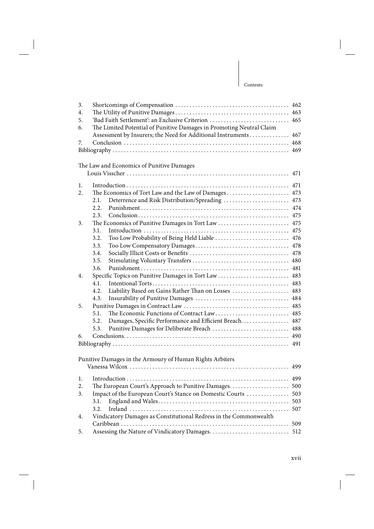## | Contents

| 3.<br>4.<br>5. | 'Bad Faith Settlement': an Exclusive Criterion  465                  |     |  |
|----------------|----------------------------------------------------------------------|-----|--|
| 6.             | The Limited Potential of Punitive Damages in Promoting Neutral Claim |     |  |
|                | Assessment by Insurers; the Need for Additional Instruments 467      |     |  |
| 7.             |                                                                      |     |  |
|                |                                                                      |     |  |
|                | The Law and Economics of Punitive Damages                            |     |  |
|                |                                                                      |     |  |
| 1.             |                                                                      |     |  |
| 2.             |                                                                      |     |  |
|                | Deterrence and Risk Distribution/Spreading  473<br>2.1.              |     |  |
|                | 2.2.                                                                 |     |  |
|                | 2.3.                                                                 |     |  |
| 3.             | The Economics of Punitive Damages in Tort Law  475                   |     |  |
|                | 3.1.                                                                 |     |  |
|                | Too Low Probability of Being Held Liable  476<br>3.2.                |     |  |
|                | 3.3.                                                                 |     |  |
|                | 3.4.                                                                 |     |  |
|                | 3.5.                                                                 |     |  |
|                | 3.6.                                                                 |     |  |
| 4.             | Specific Topics on Punitive Damages in Tort Law  483                 |     |  |
|                | 4.1.                                                                 |     |  |
|                | Liability Based on Gains Rather Than on Losses  483<br>4.2.          |     |  |
|                | 4.3.                                                                 |     |  |
| 5.             |                                                                      |     |  |
|                | 5.1.<br>The Economic Functions of Contract Law 485                   |     |  |
|                | Damages, Specific Performance and Efficient Breach 487<br>5.2.       |     |  |
|                | Punitive Damages for Deliberate Breach  488<br>5.3.                  |     |  |
| 6.             |                                                                      |     |  |
|                |                                                                      |     |  |
|                | Punitive Damages in the Armoury of Human Rights Arbiters             |     |  |
|                |                                                                      |     |  |
| 1.             |                                                                      |     |  |
| 2.             | The European Court's Approach to Punitive Damages 500                |     |  |
| 3.             | Impact of the European Court's Stance on Domestic Courts             | 503 |  |
|                | 3.1.                                                                 | 503 |  |
|                | 3.2.                                                                 | 507 |  |
| 4.             | Vindicatory Damages as Constitutional Redress in the Commonwealth    |     |  |
|                |                                                                      | 509 |  |
| 5.             | Assessing the Nature of Vindicatory Damages                          | 512 |  |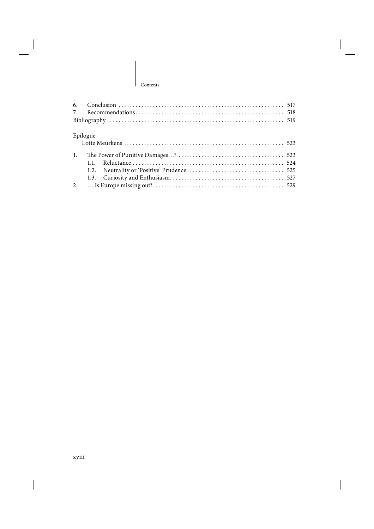$\overline{1}$ 

| Epilogue       |  |
|----------------|--|
| $\mathbf{1}$ . |  |
|                |  |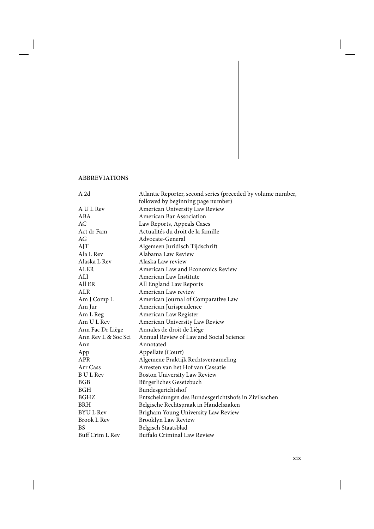## **ABBREVIATIONS**

| A 2d                | Atlantic Reporter, second series (preceded by volume number, |
|---------------------|--------------------------------------------------------------|
|                     | followed by beginning page number)                           |
| A U L Rev           | American University Law Review                               |
| ABA                 | American Bar Association                                     |
| AC                  | Law Reports, Appeals Cases                                   |
| Act dr Fam          | Actualités du droit de la famille                            |
| AG                  | Advocate-General                                             |
| AJT                 | Algemeen Juridisch Tijdschrift                               |
| Ala L Rev           | Alabama Law Review                                           |
| Alaska L Rev        | Alaska Law review                                            |
| <b>ALER</b>         | American Law and Economics Review                            |
| ALI                 | American Law Institute                                       |
| All ER              | All England Law Reports                                      |
| <b>ALR</b>          | American Law review                                          |
| Am J Comp L         | American Journal of Comparative Law                          |
| Am Jur              | American Jurisprudence                                       |
| Am L Reg            | American Law Register                                        |
| Am UL Rev           | American University Law Review                               |
| Ann Fac Dr Liège    | Annales de droit de Liège                                    |
| Ann Rev L & Soc Sci | Annual Review of Law and Social Science                      |
| Ann                 | Annotated                                                    |
| App                 | Appellate (Court)                                            |
| APR                 | Algemene Praktijk Rechtsverzameling                          |
| Arr Cass            | Arresten van het Hof van Cassatie                            |
| <b>B</b> U L Rev    | Boston University Law Review                                 |
| <b>BGB</b>          | Bürgerliches Gesetzbuch                                      |
| BGH                 | Bundesgerichtshof                                            |
| <b>BGHZ</b>         | Entscheidungen des Bundesgerichtshofs in Zivilsachen         |
| <b>BRH</b>          | Belgische Rechtspraak in Handelszaken                        |
| <b>BYUL Rev</b>     | Brigham Young University Law Review                          |
| Brook L Rev         | Brooklyn Law Review                                          |
| <b>BS</b>           | Belgisch Staatsblad                                          |
| Buff Crim L Rev     | Buffalo Criminal Law Review                                  |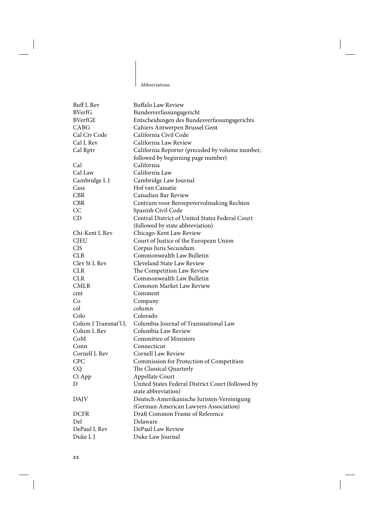Abbreviations

 $\mathbf{I}$ 

| <b>Buff L Rev</b>    | <b>Buffalo Law Review</b>                         |
|----------------------|---------------------------------------------------|
| <b>BVerfG</b>        | Bundesverfassungsgericht                          |
| <b>BVerfGE</b>       | Entscheidungen des Bundesverfassungsgerichts      |
| CABG                 | Cahiers Antwerpen Brussel Gent                    |
| Cal Civ Code         | California Civil Code                             |
| Cal L Rev            | California Law Review                             |
| Cal Rptr             | California Reporter (preceded by volume number,   |
|                      | followed by beginning page number)                |
| Cal                  | California                                        |
| Cal Law              | California Law                                    |
| Cambridge L J        | Cambridge Law Journal                             |
| Cass                 | Hof van Cassatie                                  |
| <b>CBR</b>           | Canadian Bar Review                               |
| <b>CBR</b>           | Centrum voor Beroepsvervolmaking Rechten          |
| CC                   | Spanish Civil Code                                |
| CD                   | Central District of United States Federal Court   |
|                      | (followed by state abbreviation)                  |
| Chi-Kent L Rev       | Chicago-Kent Law Review                           |
| <b>CJEU</b>          | Court of Justice of the European Union            |
| <b>CJS</b>           | Corpus Juris Secundum                             |
| CLB                  | Commonwealth Law Bulletin                         |
| Clev St L Rev        | Cleveland State Law Review                        |
| <b>CLR</b>           | The Competition Law Review                        |
| <b>CLR</b>           | Commonwealth Law Bulletin                         |
| <b>CMLR</b>          | Common Market Law Review                          |
| cmt                  | Comment                                           |
| Co                   | Company                                           |
| col                  | column                                            |
| Colo                 | Colorado                                          |
| Colum J Transnat'l L | Columbia Journal of Transnational Law             |
| Colum L Rev          | Columbia Law Review                               |
| CoM                  | Committee of Ministers                            |
| Conn                 | Connecticut                                       |
| Cornell L Rev        | Cornell Law Review                                |
| <b>CPC</b>           |                                                   |
|                      | Commission for Protection of Competition          |
| CQ                   | The Classical Quarterly                           |
| Ct App               | Appellate Court                                   |
| D                    | United States Federal District Court (followed by |
|                      | state abbreviation)                               |
| <b>DAJV</b>          | Deutsch-Amerikanische Juristen-Vereinigung        |
|                      | (German-American Lawyers Association)             |
| <b>DCFR</b>          | Draft Common Frame of Reference                   |
| Del                  | Delaware                                          |
| DePaul L Rev         | DePaul Law Review                                 |
| Duke L J             | Duke Law Journal                                  |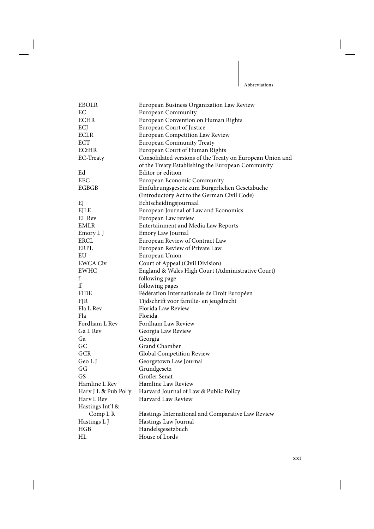$\mathbf{I}$ 

| <b>EBOLR</b>         | European Business Organization Law Review                 |
|----------------------|-----------------------------------------------------------|
| EC                   | <b>European Community</b>                                 |
| <b>ECHR</b>          | European Convention on Human Rights                       |
| ECJ                  | European Court of Justice                                 |
| <b>ECLR</b>          | European Competition Law Review                           |
| <b>ECT</b>           | <b>European Community Treaty</b>                          |
| <b>ECtHR</b>         | European Court of Human Rights                            |
| EC-Treaty            | Consolidated versions of the Treaty on European Union and |
|                      | of the Treaty Establishing the European Community         |
| Ed                   | Editor or edition                                         |
| <b>EEC</b>           | European Economic Community                               |
| <b>EGBGB</b>         | Einführungsgesetz zum Bürgerlichen Gesetzbuche            |
|                      | (Introductory Act to the German Civil Code)               |
| EJ                   | Echtscheidingsjournaal                                    |
| EJLE                 | European Journal of Law and Economics                     |
| EL Rev               | European Law review                                       |
| <b>EMLR</b>          | Entertainment and Media Law Reports                       |
| Emory L J            | Emory Law Journal                                         |
| <b>ERCL</b>          | European Review of Contract Law                           |
| ERPL                 | European Review of Private Law                            |
| EU                   | European Union                                            |
| <b>EWCA Civ</b>      | Court of Appeal (Civil Division)                          |
| <b>EWHC</b>          | England & Wales High Court (Administrative Court)         |
| f                    | following page                                            |
| ff                   | following pages                                           |
| <b>FIDE</b>          | Fédération Internationale de Droit Européen               |
| <b>FJR</b>           | Tijdschrift voor familie- en jeugdrecht                   |
| Fla L Rev            | Florida Law Review                                        |
| Fla                  | Florida                                                   |
| Fordham L Rev        | Fordham Law Review                                        |
| Ga L Rev             | Georgia Law Review                                        |
| Ga                   | Georgia                                                   |
| GC                   | Grand Chamber                                             |
| <b>GCR</b>           | Global Competition Review                                 |
| Geo L J              | Georgetown Law Journal                                    |
| GG                   | Grundgesetz                                               |
| GS                   | Großer Senat                                              |
| Hamline L Rev        | Hamline Law Review                                        |
| Harv J L & Pub Pol'y | Harvard Journal of Law & Public Policy                    |
| Harv L Rev           | Harvard Law Review                                        |
| Hastings Int'l &     |                                                           |
| Comp L R             | Hastings International and Comparative Law Review         |
| Hastings L J         | Hastings Law Journal                                      |
| HGB                  | Handelsgesetzbuch                                         |
| HL                   | House of Lords                                            |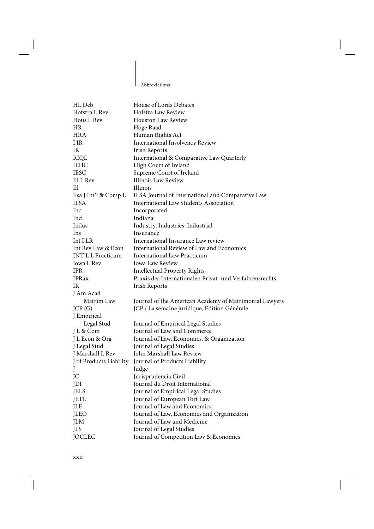Abbreviations

 $\overline{\phantom{a}}$ 

| HL Deb                   | House of Lords Debates                                  |
|--------------------------|---------------------------------------------------------|
| Hofstra L Rev            | Hofstra Law Review                                      |
| Hous L Rev               | <b>Houston Law Review</b>                               |
| HR.                      | Hoge Raad                                               |
| <b>HRA</b>               | Human Rights Act                                        |
| I IR                     | <b>International Insolvency Review</b>                  |
| IR                       | Irish Reports                                           |
| <b>ICQL</b>              | International & Comparative Law Quarterly               |
| <b>IEHC</b>              | High Court of Ireland                                   |
| <b>IESC</b>              | Supreme Court of Ireland                                |
| Ill L Rev                | Illinois Law Review                                     |
| Ill                      | Illinois                                                |
| Ilsa J Int'l & Comp L    | ILSA Journal of International and Comparative Law       |
| <b>ILSA</b>              | International Law Students Association                  |
| Inc                      | Incorporated                                            |
| Ind                      | Indiana                                                 |
| Indus                    | Industry, Industries, Industrial                        |
| Ins                      | Insurance                                               |
| Int I LR                 | International Insurance Law review                      |
| Int Rev Law & Econ       | International Review of Law and Economics               |
| <b>INT'L L Practicum</b> | International Law Practicum                             |
| Iowa L Rev               | Iowa Law Review                                         |
| <b>IPR</b>               | <b>Intellectual Property Rights</b>                     |
| <b>IPRax</b>             | Praxis des Internationalen Privat- und Verfahrensrechts |
| IR                       | Irish Reports                                           |
| J Am Acad                |                                                         |
| Matrim Law               | Journal of the American Academy of Matrimonial Lawyers  |
| JCP(G)                   | JCP / La semaine juridique, Edition Générale            |
| J Empirical              |                                                         |
| Legal Stud               | Journal of Empirical Legal Studies                      |
| J L & Com                | Journal of Law and Commerce                             |
| J L Econ & Org           | Journal of Law, Economics, & Organization               |
| J Legal Stud             | Journal of Legal Studies                                |
| J Marshall L Rev         | John Marshall Law Review                                |
| J of Products Liability  | Journal of Products Liability                           |
| J                        | Judge                                                   |
| JC                       | Jurisprudencia Civil                                    |
| JDI                      | Journal du Droit International                          |
| <b>JELS</b>              | Journal of Empirical Legal Studies                      |
| <b>JETL</b>              | Journal of European Tort Law                            |
| JLE                      | Journal of Law and Economics                            |
| <b>JLEO</b>              | Journal of Law, Economics and Organization              |
| <b>JLM</b>               | Journal of Law and Medicine                             |
| <b>JLS</b>               | Journal of Legal Studies                                |
| <b>JOCLEC</b>            | Journal of Competition Law & Economics                  |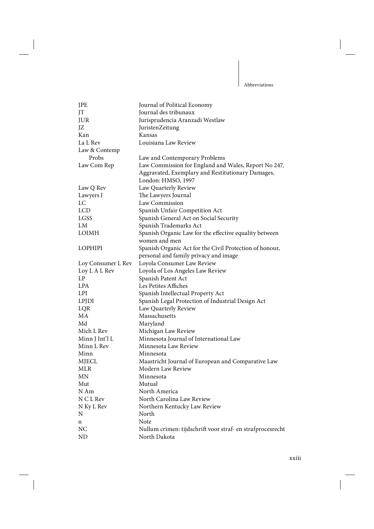| JPE                | Journal of Political Economy                               |
|--------------------|------------------------------------------------------------|
| JT                 | Journal des tribunaux                                      |
| JUR                | Jurisprudencia Aranzadi Westlaw                            |
| JZ                 | JuristenZeitung                                            |
| Kan                | Kansas                                                     |
| La L Rev           | Louisiana Law Review                                       |
| Law & Contemp      |                                                            |
| Probs              | Law and Contemporary Problems                              |
| Law Com Rep        | Law Commission for England and Wales, Report No 247,       |
|                    | Aggravated, Exemplary and Restitutionary Damages,          |
|                    | London: HMSO, 1997                                         |
| Law Q Rev          | Law Quarterly Review                                       |
| Lawyers J          | The Lawyers Journal                                        |
| LC                 | Law Commission                                             |
| <b>LCD</b>         | Spanish Unfair Competition Act                             |
| LGSS               | Spanish General Act on Social Security                     |
| LM                 | Spanish Trademarks Act                                     |
| LOIMH              | Spanish Organic Law for the effective equality between     |
|                    | women and men                                              |
| <b>LOPHIPI</b>     | Spanish Organic Act for the Civil Protection of honour,    |
|                    | personal and family privacy and image                      |
| Loy Consumer L Rev | Loyola Consumer Law Review                                 |
| Loy L A L Rev      | Loyola of Los Angeles Law Review                           |
| LP                 | Spanish Patent Act                                         |
| <b>LPA</b>         | Les Petites Affiches                                       |
| LPI                | Spanish Intellectual Property Act                          |
| <b>LPJDI</b>       | Spanish Legal Protection of Industrial Design Act          |
| LQR                | Law Quarterly Review                                       |
| MA                 | Massachusetts                                              |
| Md                 | Maryland                                                   |
| Mich L Rev         | Michigan Law Review                                        |
| Minn J Int'l L     | Minnesota Journal of International Law                     |
| Minn L Rev         | Minnesota Law Review                                       |
| Minn               | Minnesota                                                  |
| <b>MJECL</b>       | Maastricht Journal of European and Comparative Law         |
| MLR                | Modern Law Review                                          |
| MΝ                 | Minnesota                                                  |
| Mut                | Mutual                                                     |
| N Am               | North America                                              |
| N C L Rev          | North Carolina Law Review                                  |
| N Ky L Rev         | Northern Kentucky Law Review                               |
| N                  | North                                                      |
| n                  | Note                                                       |
| NC                 | Nullum crimen: tijdschrift voor straf- en strafprocesrecht |
| ND                 | North Dakota                                               |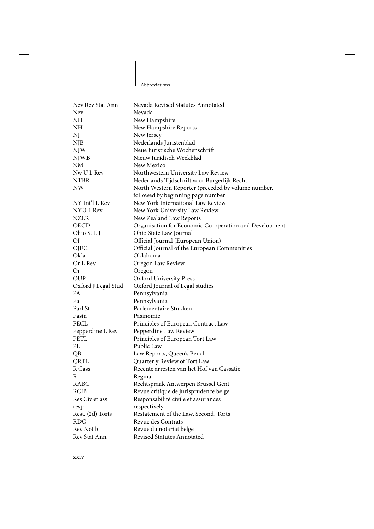Abbreviations

 $\mathbf{I}$ 

| Nev Rev Stat Ann          | Nevada Revised Statutes Annotated                      |
|---------------------------|--------------------------------------------------------|
| Nev                       | Nevada                                                 |
| NH                        | New Hampshire                                          |
| NH                        | New Hampshire Reports                                  |
| NJ                        | New Jersey                                             |
| NJB                       | Nederlands Juristenblad                                |
| <b>NJW</b>                | Neue Juristische Wochenschrift                         |
| <b>NJWB</b>               | Nieuw Juridisch Weekblad                               |
| <b>NM</b>                 | New Mexico                                             |
| Nw U L Rev                | Northwestern University Law Review                     |
| <b>NTBR</b>               | Nederlands Tijdschrift voor Burgerlijk Recht           |
| <b>NW</b>                 | North Western Reporter (preceded by volume number,     |
|                           | followed by beginning page number                      |
| NY Int'l L Rev            | New York International Law Review                      |
| NYU L Rev                 | New York University Law Review                         |
| <b>NZLR</b>               | New Zealand Law Reports                                |
| <b>OECD</b>               | Organisation for Economic Co-operation and Development |
| Ohio St L J               | Ohio State Law Journal                                 |
| OJ                        | Official Journal (European Union)                      |
| <b>OJEC</b>               | Official Journal of the European Communities           |
| Okla                      | Oklahoma                                               |
| Or L Rev                  | Oregon Law Review                                      |
| Or                        | Oregon                                                 |
| <b>OUP</b>                | Oxford University Press                                |
| Oxford J Legal Stud       | Oxford Journal of Legal studies                        |
| <b>PA</b>                 | Pennsylvania                                           |
| Pa                        | Pennsylvania                                           |
| Parl St                   | Parlementaire Stukken                                  |
| Pasin                     | Pasinomie                                              |
| <b>PECL</b>               | Principles of European Contract Law                    |
| Pepperdine L Rev          | Pepperdine Law Review                                  |
| <b>PETL</b>               | Principles of European Tort Law                        |
| PL                        | Public Law                                             |
| QB                        | Law Reports, Queen's Bench                             |
| QRTL                      | Quarterly Review of Tort Law                           |
| R Cass                    | Recente arresten van het Hof van Cassatie              |
| R                         | Regina                                                 |
| <b>RABG</b>               | Rechtspraak Antwerpen Brussel Gent                     |
| RCJB                      | Revue critique de jurisprudence belge                  |
| Res Civ et ass            | Responsabilité civile et assurances                    |
|                           | respectively                                           |
| resp.<br>Rest. (2d) Torts | Restatement of the Law, Second, Torts                  |
| <b>RDC</b>                | Revue des Contrats                                     |
|                           |                                                        |
| Rev Not b                 | Revue du notariat belge                                |
| Rev Stat Ann              | Revised Statutes Annotated                             |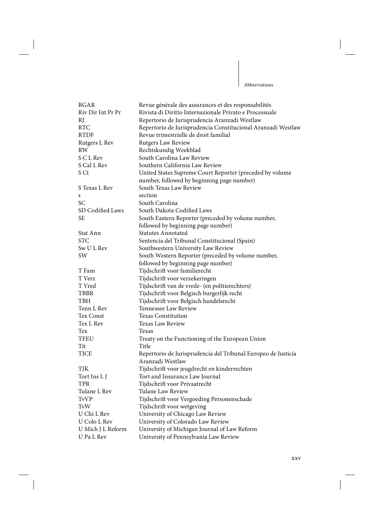Ш

| <b>RGAR</b>       | Revue générale des assurances et des responsabilités          |
|-------------------|---------------------------------------------------------------|
| Riv Dir Int Pr Pr | Rivista di Diritto Internazionale Privato e Processuale       |
| RJ                | Repertorio de Jurisprudencia Aranzadi Westlaw                 |
| <b>RTC</b>        | Repertorio de Jurisprudencia Constitucional Aranzadi Westlaw  |
| <b>RTDF</b>       | Revue trimestrielle de droit familial                         |
| Rutgers L Rev     | <b>Rutgers Law Review</b>                                     |
| <b>RW</b>         | Rechtskundig Weekblad                                         |
| S C L Rev         | South Carolina Law Review                                     |
| S Cal L Rev       | Southern California Law Review                                |
| S Ct              | United States Supreme Court Reporter (preceded by volume      |
|                   | number, followed by beginning page number)                    |
| S Texas L Rev     | South Texas Law Review                                        |
| s                 | section                                                       |
| <b>SC</b>         | South Carolina                                                |
| SD Codified Laws  | South Dakota Codified Laws                                    |
| <b>SE</b>         | South Eastern Reporter (preceded by volume number,            |
|                   | followed by beginning page number)                            |
| Stat Ann          | <b>Statutes Annotated</b>                                     |
| <b>STC</b>        | Sentencia del Tribunal Constitucional (Spain)                 |
| Sw U L Rev        | Southwestern University Law Review                            |
| SW                | South Western Reporter (preceded by volume number,            |
|                   | followed by beginning page number)                            |
| T Fam             | Tijdschrift voor familierecht                                 |
| T Verz            | Tijdschrift voor verzekeringen                                |
| T Vred            | Tijdschrift van de vrede- (en politierechters)                |
| <b>TBBR</b>       | Tijdschrift voor Belgisch burgerlijk recht                    |
| TBH               | Tijdschrift voor Belgisch handelsrecht                        |
| Tenn L Rev        | Tennessee Law Review                                          |
| Tex Const         | <b>Texas Constitution</b>                                     |
| Tex L Rev         | Texas Law Review                                              |
| Tex               | Texas                                                         |
| TFEU              | Treaty on the Functioning of the European Union               |
| Tit               | Title                                                         |
| <b>TJCE</b>       | Repertorio de Jurisprudencia del Tribunal Europeo de Justicia |
|                   | Aranzadi Westlaw                                              |
| TJK               | Tijdschrift voor jeugdrecht en kinderrechten                  |
| Tort Ins L J      | Tort and Insurance Law Journal                                |
| TPR               | Tijdschrift voor Privaatrecht                                 |
| Tulane L Rev      | Tulane Law Review                                             |
| <b>TvVP</b>       | Tijdschrift voor Vergoeding Personenschade                    |
| TvW               | Tijdschrift voor wetgeving                                    |
| U Chi L Rev       | University of Chicago Law Review                              |
| U Colo L Rev      | University of Colorado Law Review                             |
| U Mich J L Reform | University of Michigan Journal of Law Reform                  |
| U Pa L Rev        | University of Pennsylvania Law Review                         |
|                   |                                                               |